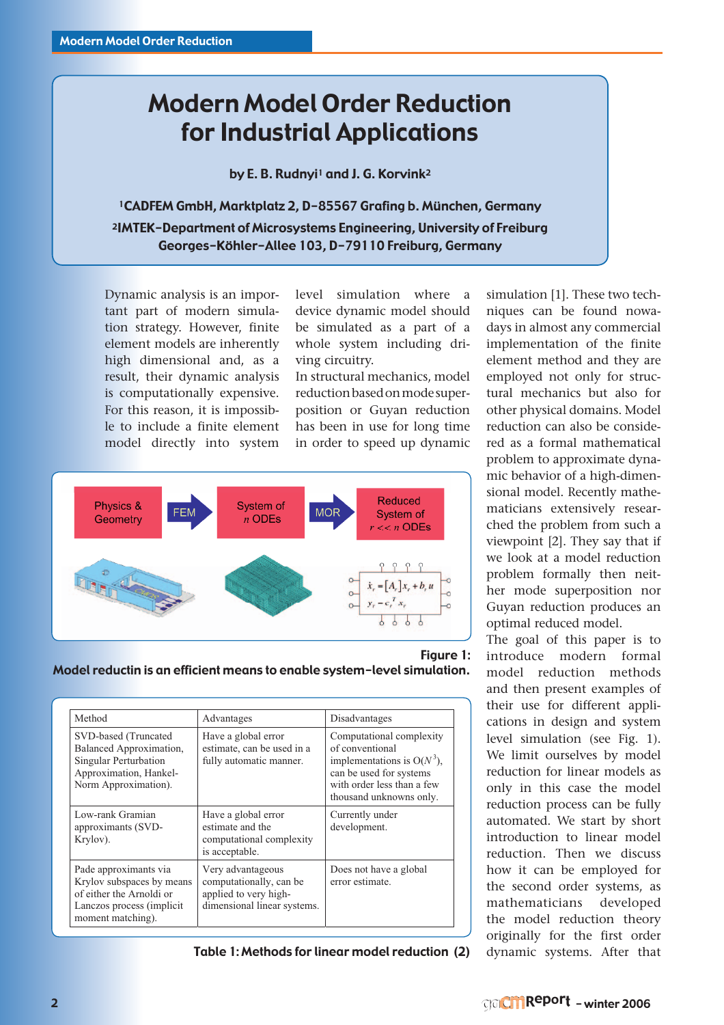# Modern Model Order Reduction for Industrial Applications

by E. B. Rudnyi<sup>1</sup> and J. G. Korvink<sup>2</sup>

1CADFEM GmbH, Marktplatz 2, D-85567 Grafing b. München, Germany 2IMTEK-Department of Microsystems Engineering, University of Freiburg Georges-Köhler-Allee 103, D-79110 Freiburg, Germany

Dynamic analysis is an important part of modern simulation strategy. However, finite element models are inherently high dimensional and, as a result, their dynamic analysis is computationally expensive. For this reason, it is impossible to include a finite element model directly into system

level simulation where a device dynamic model should be simulated as a part of a whole system including driving circuitry.

In structural mechanics, model reduction based on mode superposition or Guyan reduction has been in use for long time in order to speed up dynamic



### Figure 1:

Model reductin is an efficient means to enable system-level simulation.

| Method                                                                                                                            | Advantages                                                                                           | Disadvantages                                                                                                                                                    |
|-----------------------------------------------------------------------------------------------------------------------------------|------------------------------------------------------------------------------------------------------|------------------------------------------------------------------------------------------------------------------------------------------------------------------|
| SVD-based (Truncated<br>Balanced Approximation,<br>Singular Perturbation<br>Approximation, Hankel-<br>Norm Approximation).        | Have a global error<br>estimate, can be used in a<br>fully automatic manner.                         | Computational complexity<br>of conventional<br>implementations is $O(N^3)$ ,<br>can be used for systems<br>with order less than a few<br>thousand unknowns only. |
| Low-rank Gramian<br>approximants (SVD-<br>Krylov).                                                                                | Have a global error<br>estimate and the<br>computational complexity<br>is acceptable.                | Currently under<br>development.                                                                                                                                  |
| Pade approximants via<br>Krylov subspaces by means<br>of either the Arnoldi or<br>Lanczos process (implicit)<br>moment matching). | Very advantageous<br>computationally, can be<br>applied to very high-<br>dimensional linear systems. | Does not have a global<br>error estimate.                                                                                                                        |

Table 1: Methods for linear model reduction (2)

simulation [1]. These two techniques can be found nowadays in almost any commercial implementation of the finite element method and they are employed not only for structural mechanics but also for other physical domains. Model reduction can also be considered as a formal mathematical problem to approximate dynamic behavior of a high-dimensional model. Recently mathematicians extensively researched the problem from such a viewpoint [2]. They say that if we look at a model reduction problem formally then neither mode superposition nor Guyan reduction produces an optimal reduced model.

The goal of this paper is to introduce modern formal model reduction methods and then present examples of their use for different applications in design and system level simulation (see Fig. 1). We limit ourselves by model reduction for linear models as only in this case the model reduction process can be fully automated. We start by short introduction to linear model reduction. Then we discuss how it can be employed for the second order systems, as mathematicians developed the model reduction theory originally for the first order dynamic systems. After that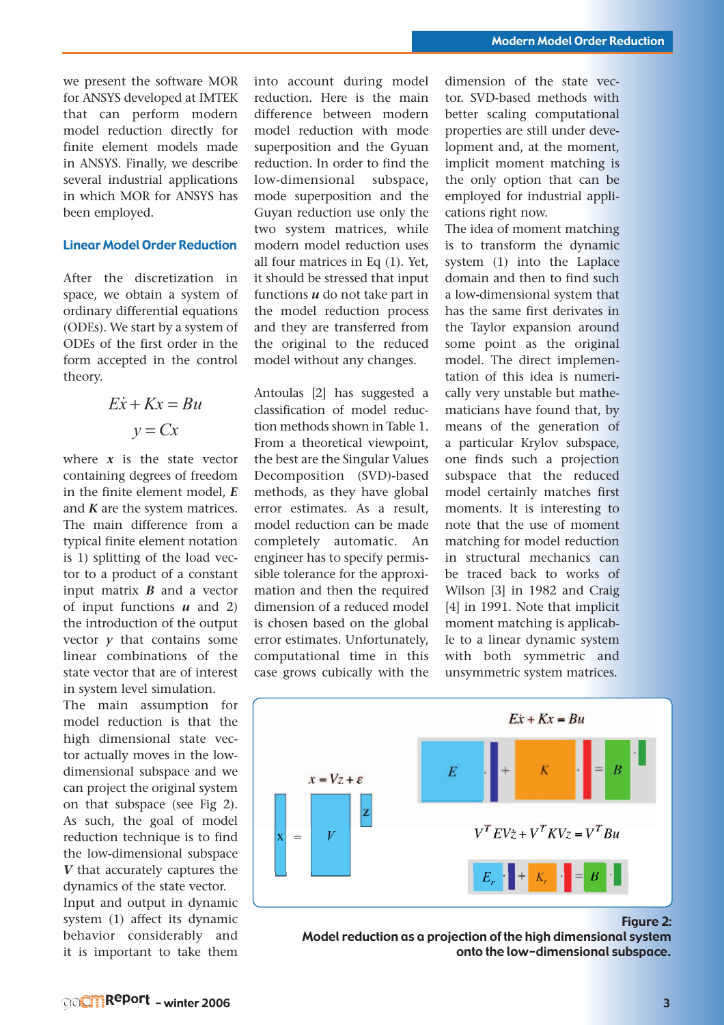we present the software MOR for ANSYS developed at IMTEK that can perform modern model reduction directly for finite element models made in ANSYS. Finally, we describe several industrial applications in which MOR for ANSYS has been employed.

### Linear Model Order Reduction

After the discretization in space, we obtain a system of ordinary differential equations (ODEs). We start by a system of ODEs of the first order in the form accepted in the control theory.

$$
Ex + Kx = Bu
$$

$$
y = Cx
$$

where  $x$  is the state vector containing degrees of freedom in the finite element model, *E* and *K* are the system matrices. The main difference from a typical finite element notation is 1) splitting of the load vector to a product of a constant input matrix *B* and a vector of input functions *u* and 2) the introduction of the output vector  $\nu$  that contains some linear combinations of the state vector that are of interest in system level simulation.

The main assumption for model reduction is that the high dimensional state vector actually moves in the lowdimensional subspace and we can project the original system on that subspace (see Fig 2). As such, the goal of model reduction technique is to find the low-dimensional subspace *V* that accurately captures the dynamics of the state vector. Input and output in dynamic system (1) affect its dynamic behavior considerably and

into account during model reduction. Here is the main difference between modern model reduction with mode superposition and the Gyuan reduction. In order to find the low-dimensional subspace, mode superposition and the Guyan reduction use only the two system matrices, while modern model reduction uses all four matrices in Eq (1). Yet, it should be stressed that input functions *u* do not take part in the model reduction process and they are transferred from the original to the reduced model without any changes.

Antoulas [2] has suggested a classification of model reduction methods shown in Table 1. From a theoretical viewpoint, the best are the Singular Values Decomposition (SVD)-based methods, as they have global error estimates. As a result, model reduction can be made completely automatic. An engineer has to specify permissible tolerance for the approximation and then the required dimension of a reduced model is chosen based on the global error estimates. Unfortunately, computational time in this case grows cubically with the

dimension of the state vector. SVD-based methods with better scaling computational properties are still under development and, at the moment, implicit moment matching is the only option that can be employed for industrial applications right now.

The idea of moment matching is to transform the dynamic system (1) into the Laplace domain and then to find such a low-dimensional system that has the same first derivates in the Taylor expansion around some point as the original model. The direct implementation of this idea is numerically very unstable but mathematicians have found that, by means of the generation of a particular Krylov subspace, one finds such a projection subspace that the reduced model certainly matches first moments. It is interesting to note that the use of moment matching for model reduction in structural mechanics can be traced back to works of Wilson [3] in 1982 and Craig [4] in 1991. Note that implicit moment matching is applicable to a linear dynamic system with both symmetric and unsymmetric system matrices.



Figure 2:

Model reduction as a projection of the high dimensional system onto the low-dimensional subspace.

it is important to take them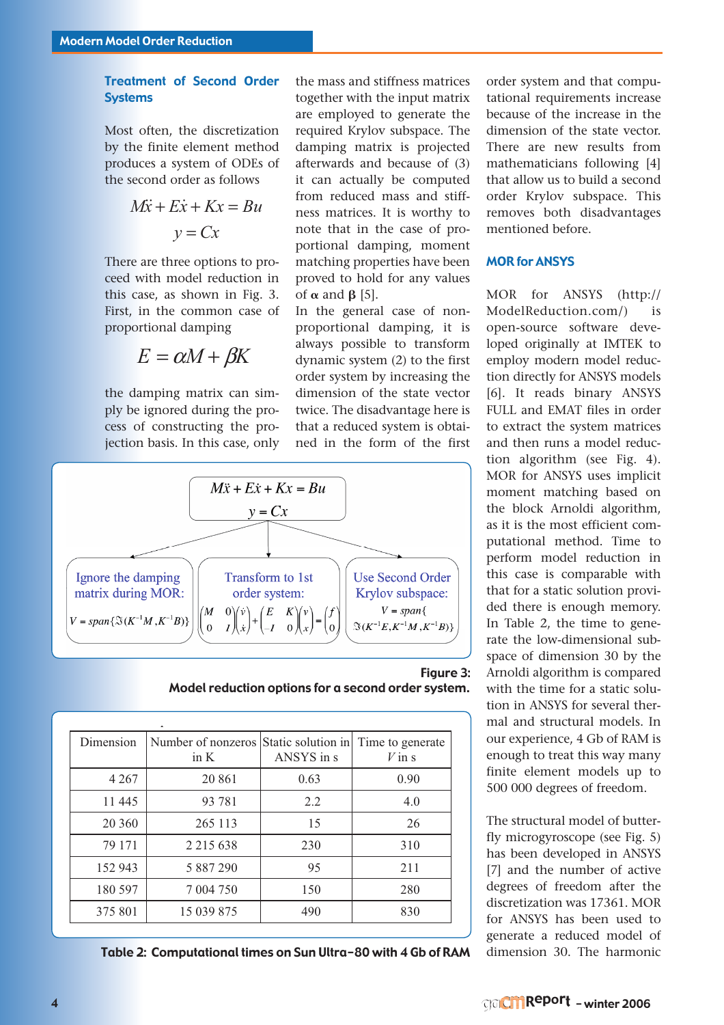# Treatment of Second Order Systems

Most often, the discretization by the finite element method produces a system of ODEs of the second order as follows

$$
M\ddot{x} + E\dot{x} + Kx = Bu
$$

$$
y = Cx
$$

There are three options to proceed with model reduction in this case, as shown in Fig. 3. First, in the common case of proportional damping

 $E = \alpha M + \beta K$ 

the damping matrix can simply be ignored during the process of constructing the projection basis. In this case, only the mass and stiffness matrices together with the input matrix are employed to generate the required Krylov subspace. The damping matrix is projected afterwards and because of (3) it can actually be computed from reduced mass and stiffness matrices. It is worthy to note that in the case of proportional damping, moment matching properties have been proved to hold for any values of  $\alpha$  and  $\beta$  [5].

In the general case of nonproportional damping, it is always possible to transform dynamic system (2) to the first order system by increasing the dimension of the state vector twice. The disadvantage here is that a reduced system is obtained in the form of the first



Figure 3: Model reduction options for a second order system.

| Dimension | Number of nonzeros Static solution in Time to generate<br>in $K$ | ANSYS in s | $V$ in s |
|-----------|------------------------------------------------------------------|------------|----------|
| 4 2 6 7   | 20 861                                                           | 0.63       | 0.90     |
| 11 445    | 93 781                                                           | 2.2        | 4.0      |
| 20 360    | 265 113                                                          | 15         | 26       |
| 79 171    | 2 2 1 5 6 3 8                                                    | 230        | 310      |
| 152 943   | 5 887 290                                                        | 95         | 211      |
| 180 597   | 7 004 750                                                        | 150        | 280      |
| 375 801   | 15 039 875                                                       | 490        | 830      |

Table 2: Computational times on Sun Ultra-80 with 4 Gb of RAM dimension 30. The harmonic

order system and that computational requirements increase because of the increase in the dimension of the state vector. There are new results from mathematicians following [4] that allow us to build a second order Krylov subspace. This removes both disadvantages mentioned before.

## MOR for ANSYS

MOR for ANSYS (http:// ModelReduction.com/) is open-source software developed originally at IMTEK to employ modern model reduction directly for ANSYS models [6]. It reads binary ANSYS FULL and EMAT files in order to extract the system matrices and then runs a model reduction algorithm (see Fig. 4). MOR for ANSYS uses implicit moment matching based on the block Arnoldi algorithm, as it is the most efficient computational method. Time to perform model reduction in this case is comparable with that for a static solution provided there is enough memory. In Table 2, the time to generate the low-dimensional subspace of dimension 30 by the Arnoldi algorithm is compared with the time for a static solution in ANSYS for several thermal and structural models. In our experience, 4 Gb of RAM is enough to treat this way many finite element models up to 500 000 degrees of freedom.

The structural model of butterfly microgyroscope (see Fig. 5) has been developed in ANSYS [7] and the number of active degrees of freedom after the discretization was 17361. MOR for ANSYS has been used to generate a reduced model of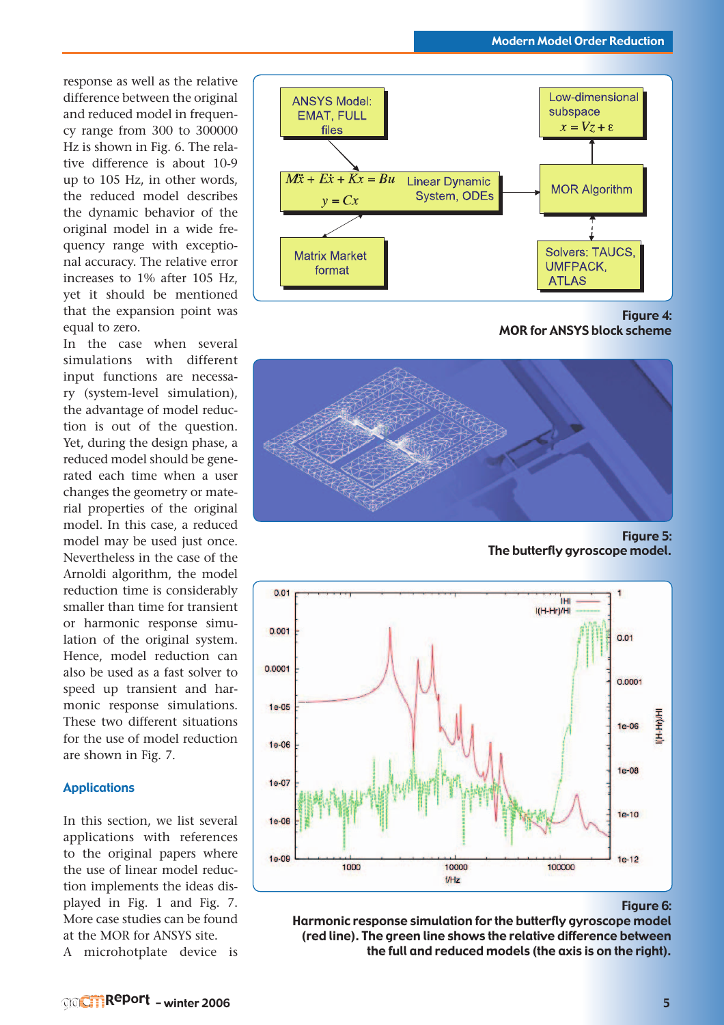response as well as the relative difference between the original and reduced model in frequency range from 300 to 300000 Hz is shown in Fig. 6. The relative difference is about 10-9 up to 105 Hz, in other words, the reduced model describes the dynamic behavior of the original model in a wide frequency range with exceptional accuracy. The relative error increases to 1% after 105 Hz, yet it should be mentioned that the expansion point was equal to zero.

In the case when several simulations with different input functions are necessary (system-level simulation), the advantage of model reduction is out of the question. Yet, during the design phase, a reduced model should be generated each time when a user changes the geometry or material properties of the original model. In this case, a reduced model may be used just once. Nevertheless in the case of the Arnoldi algorithm, the model reduction time is considerably smaller than time for transient or harmonic response simulation of the original system. Hence, model reduction can also be used as a fast solver to speed up transient and harmonic response simulations. These two different situations for the use of model reduction are shown in Fig. 7.

#### Applications

In this section, we list several applications with references to the original papers where the use of linear model reduction implements the ideas displayed in Fig. 1 and Fig. 7. More case studies can be found at the MOR for ANSYS site. A microhotplate device is



Figure 4: MOR for ANSYS block scheme



Figure 5: The butterfly gyroscope model.



Figure 6:

Harmonic response simulation for the butterfly gyroscope model (red line). The green line shows the relative difference between the full and reduced models (the axis is on the right).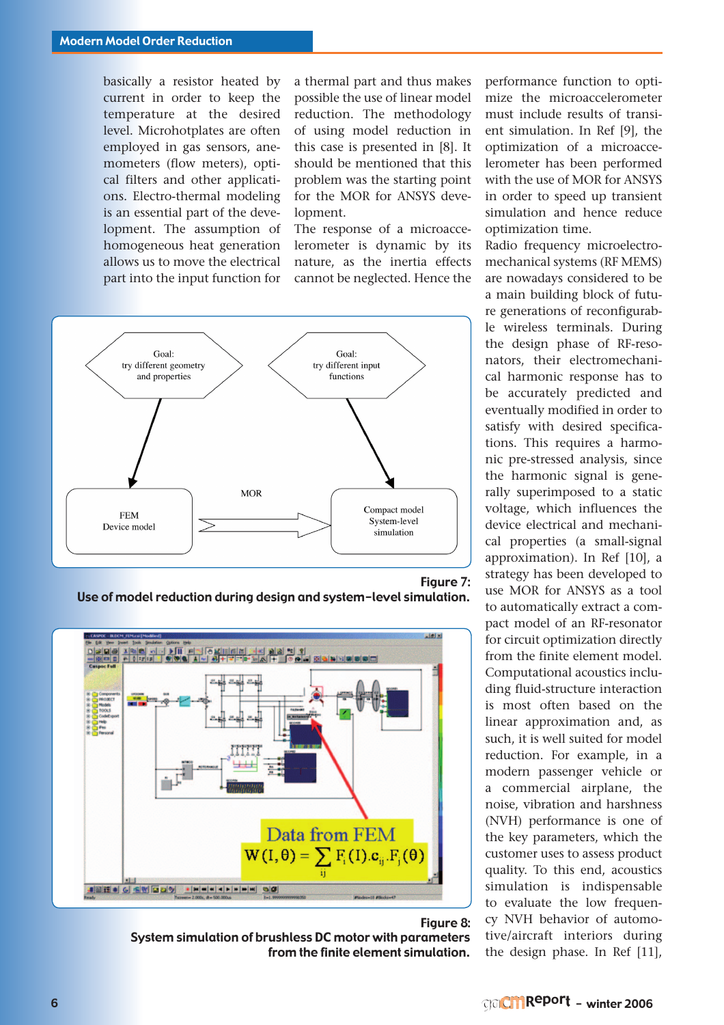basically a resistor heated by current in order to keep the temperature at the desired level. Microhotplates are often employed in gas sensors, anemometers (flow meters), optical filters and other applications. Electro-thermal modeling is an essential part of the development. The assumption of homogeneous heat generation allows us to move the electrical part into the input function for

a thermal part and thus makes possible the use of linear model reduction. The methodology of using model reduction in this case is presented in [8]. It should be mentioned that this problem was the starting point for the MOR for ANSYS development.

The response of a microaccelerometer is dynamic by its nature, as the inertia effects cannot be neglected. Hence the



Figure 7: Use of model reduction during design and system-level simulation.



#### Figure 8: System simulation of brushless DC motor with parameters from the finite element simulation.

performance function to optimize the microaccelerometer must include results of transient simulation. In Ref [9], the optimization of a microaccelerometer has been performed with the use of MOR for ANSYS in order to speed up transient simulation and hence reduce optimization time.

Radio frequency microelectromechanical systems (RF MEMS) are nowadays considered to be a main building block of future generations of reconfigurable wireless terminals. During the design phase of RF-resonators, their electromechanical harmonic response has to be accurately predicted and eventually modified in order to satisfy with desired specifications. This requires a harmonic pre-stressed analysis, since the harmonic signal is generally superimposed to a static voltage, which influences the device electrical and mechanical properties (a small-signal approximation). In Ref [10], a strategy has been developed to use MOR for ANSYS as a tool to automatically extract a compact model of an RF-resonator for circuit optimization directly from the finite element model. Computational acoustics including fluid-structure interaction is most often based on the linear approximation and, as such, it is well suited for model reduction. For example, in a modern passenger vehicle or a commercial airplane, the noise, vibration and harshness (NVH) performance is one of the key parameters, which the customer uses to assess product quality. To this end, acoustics simulation is indispensable to evaluate the low frequency NVH behavior of automotive/aircraft interiors during the design phase. In Ref [11],